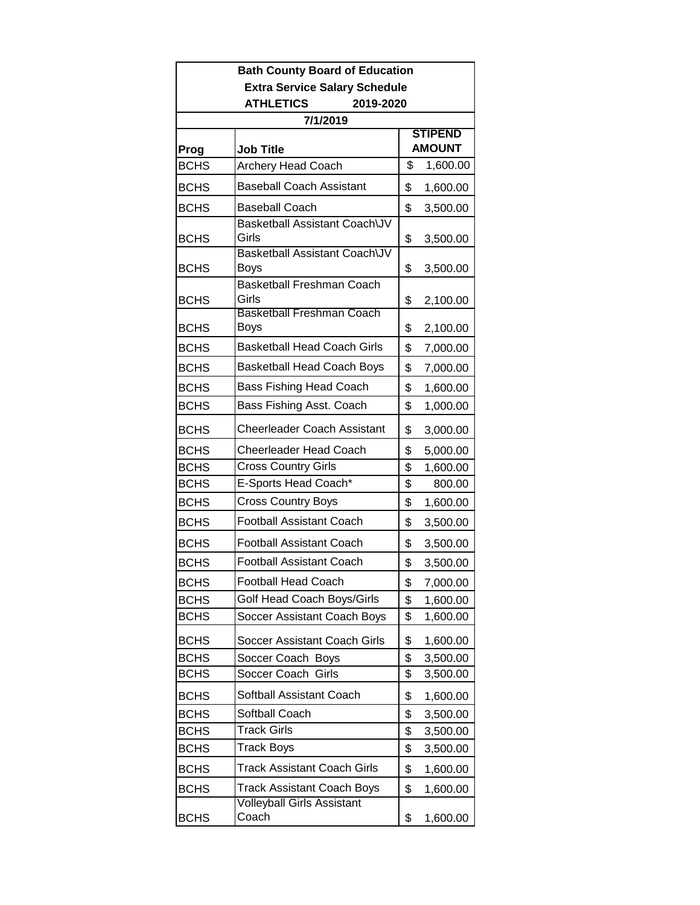| <b>Bath County Board of Education</b> |                                            |                                 |          |  |  |
|---------------------------------------|--------------------------------------------|---------------------------------|----------|--|--|
| <b>Extra Service Salary Schedule</b>  |                                            |                                 |          |  |  |
| <b>ATHLETICS</b><br>2019-2020         |                                            |                                 |          |  |  |
|                                       | 7/1/2019                                   |                                 |          |  |  |
| Prog                                  | <b>Job Title</b>                           | <b>STIPEND</b><br><b>AMOUNT</b> |          |  |  |
| <b>BCHS</b>                           | Archery Head Coach                         | \$                              | 1,600.00 |  |  |
| <b>BCHS</b>                           | <b>Baseball Coach Assistant</b>            | \$                              | 1,600.00 |  |  |
| <b>BCHS</b>                           | <b>Baseball Coach</b>                      | \$                              | 3,500.00 |  |  |
| <b>BCHS</b>                           | Basketball Assistant Coach\JV<br>Girls     | \$                              | 3,500.00 |  |  |
| <b>BCHS</b>                           | Basketball Assistant Coach\JV<br>Boys      | \$                              | 3,500.00 |  |  |
| <b>BCHS</b>                           | <b>Basketball Freshman Coach</b><br>Girls  | \$                              | 2,100.00 |  |  |
| <b>BCHS</b>                           | <b>Basketball Freshman Coach</b><br>Boys   | \$                              | 2,100.00 |  |  |
| <b>BCHS</b>                           | <b>Basketball Head Coach Girls</b>         | \$                              | 7,000.00 |  |  |
| <b>BCHS</b>                           | <b>Basketball Head Coach Boys</b>          | \$                              | 7,000.00 |  |  |
| <b>BCHS</b>                           | <b>Bass Fishing Head Coach</b>             | \$                              | 1,600.00 |  |  |
| <b>BCHS</b>                           | Bass Fishing Asst. Coach                   | \$                              | 1,000.00 |  |  |
| <b>BCHS</b>                           | <b>Cheerleader Coach Assistant</b>         | \$                              | 3,000.00 |  |  |
| <b>BCHS</b>                           | <b>Cheerleader Head Coach</b>              | \$                              | 5,000.00 |  |  |
| <b>BCHS</b>                           | <b>Cross Country Girls</b>                 | \$                              | 1,600.00 |  |  |
| <b>BCHS</b>                           | E-Sports Head Coach*                       | \$                              | 800.00   |  |  |
| <b>BCHS</b>                           | <b>Cross Country Boys</b>                  | \$                              | 1,600.00 |  |  |
| <b>BCHS</b>                           | <b>Football Assistant Coach</b>            | \$                              | 3,500.00 |  |  |
| <b>BCHS</b>                           | <b>Football Assistant Coach</b>            | \$                              | 3,500.00 |  |  |
| <b>BCHS</b>                           | <b>Football Assistant Coach</b>            | \$                              | 3,500.00 |  |  |
| <b>BCHS</b>                           | <b>Football Head Coach</b>                 | \$                              | 7,000.00 |  |  |
| <b>BCHS</b>                           | Golf Head Coach Boys/Girls                 | \$                              | 1,600.00 |  |  |
| <b>BCHS</b>                           | Soccer Assistant Coach Boys                | \$                              | 1,600.00 |  |  |
| <b>BCHS</b>                           | Soccer Assistant Coach Girls               | \$                              | 1,600.00 |  |  |
| <b>BCHS</b>                           | Soccer Coach Boys                          | \$                              | 3,500.00 |  |  |
| <b>BCHS</b>                           | Soccer Coach Girls                         | \$                              | 3,500.00 |  |  |
| <b>BCHS</b>                           | Softball Assistant Coach                   | \$                              | 1,600.00 |  |  |
| <b>BCHS</b>                           | Softball Coach                             | \$                              | 3,500.00 |  |  |
| <b>BCHS</b>                           | <b>Track Girls</b>                         | \$                              | 3,500.00 |  |  |
| <b>BCHS</b>                           | Track Boys                                 | \$                              | 3,500.00 |  |  |
| <b>BCHS</b>                           | Track Assistant Coach Girls                | \$                              | 1,600.00 |  |  |
| <b>BCHS</b>                           | <b>Track Assistant Coach Boys</b>          | \$                              | 1,600.00 |  |  |
| <b>BCHS</b>                           | <b>Volleyball Girls Assistant</b><br>Coach | \$                              | 1,600.00 |  |  |